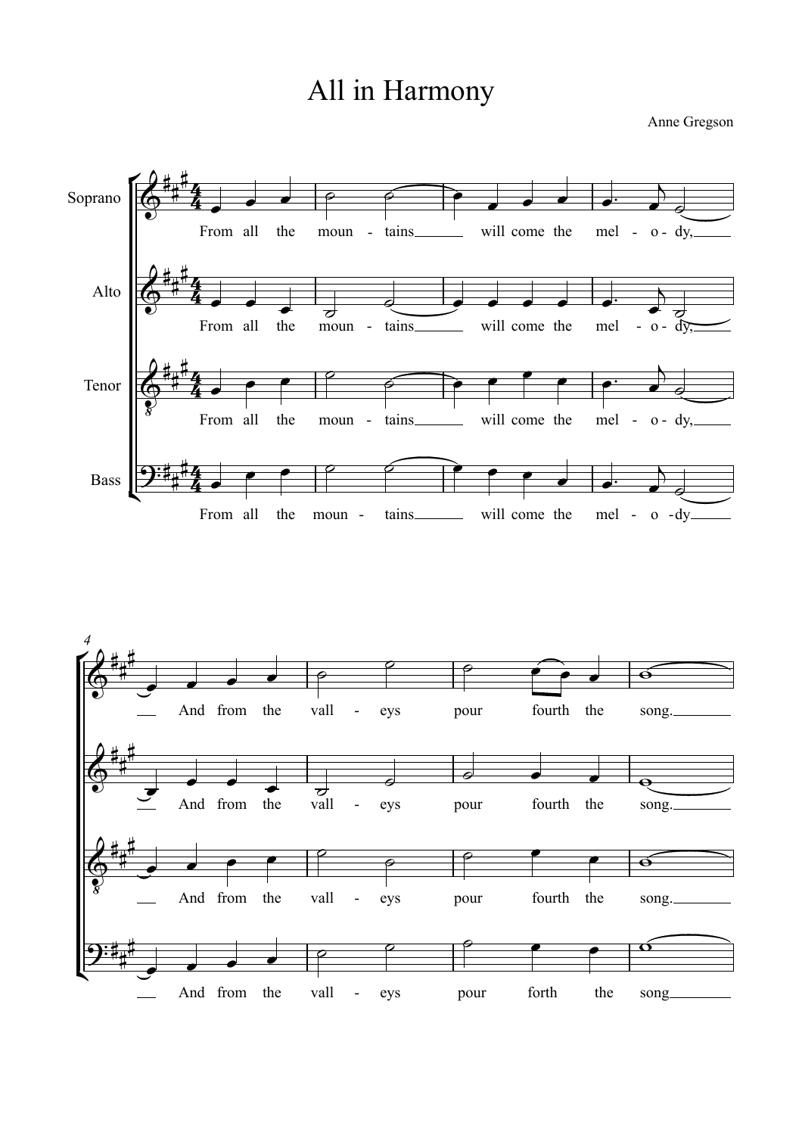## All in Harmony

Anne Gregson



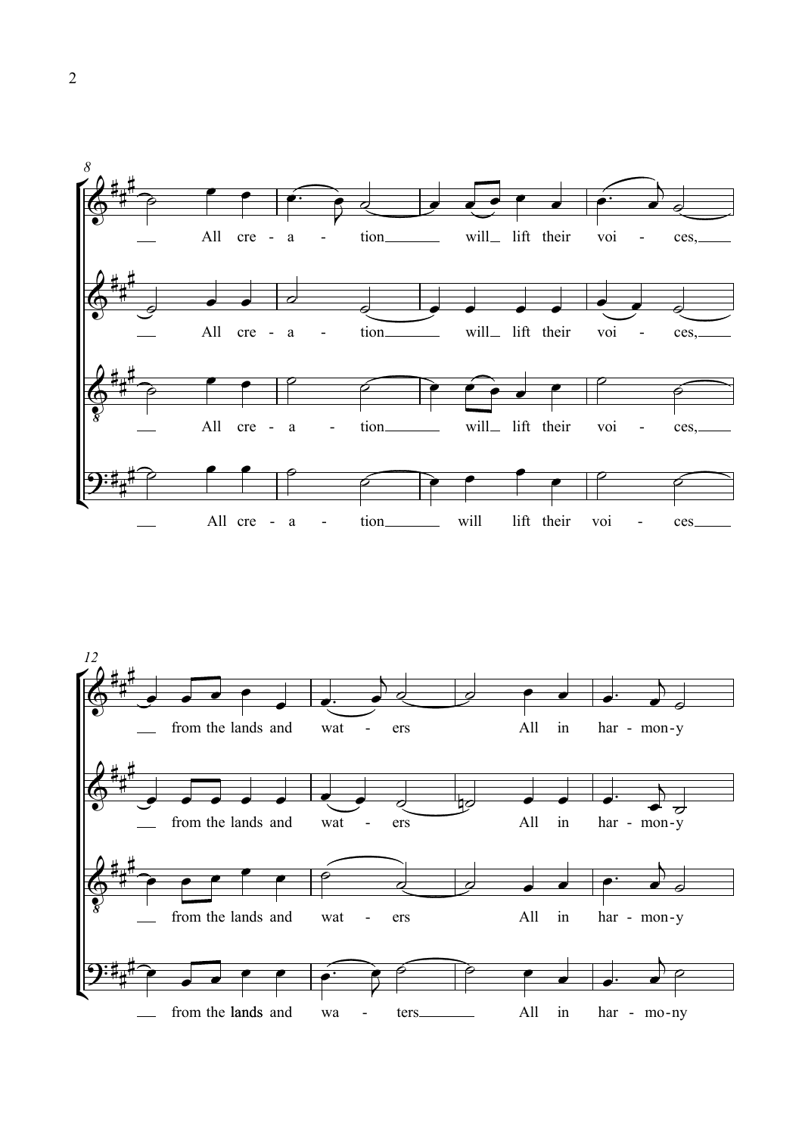

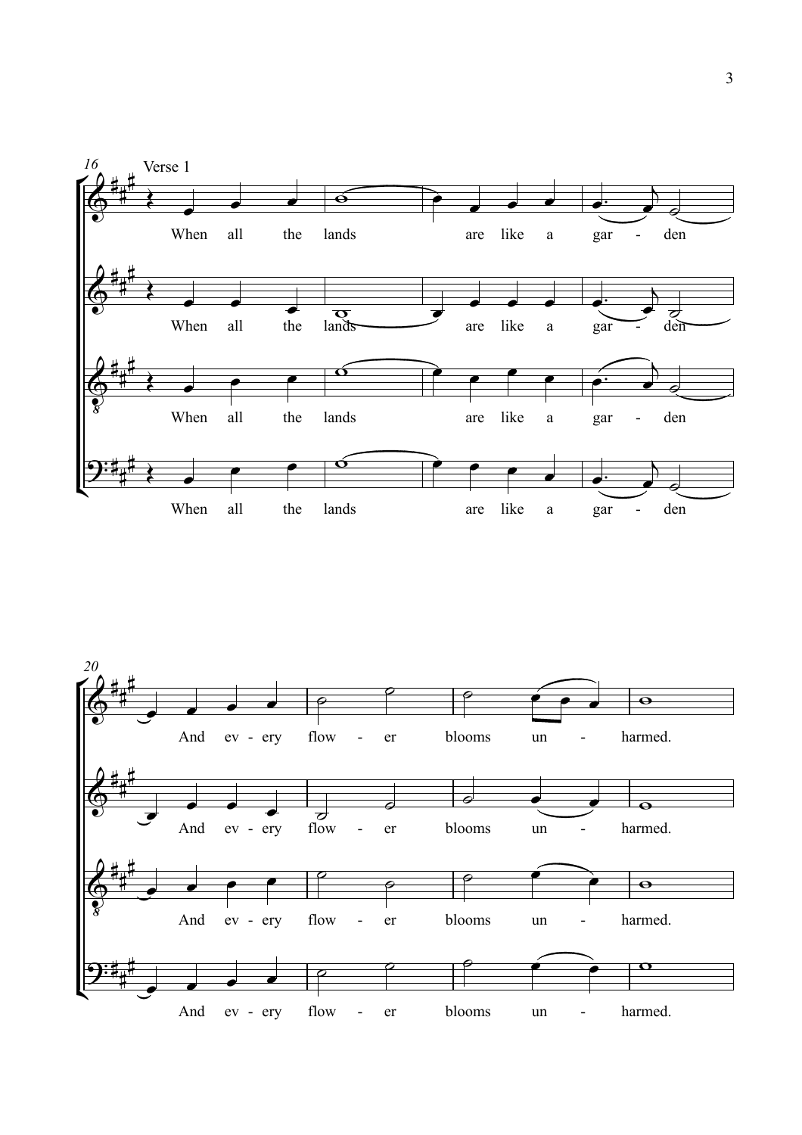

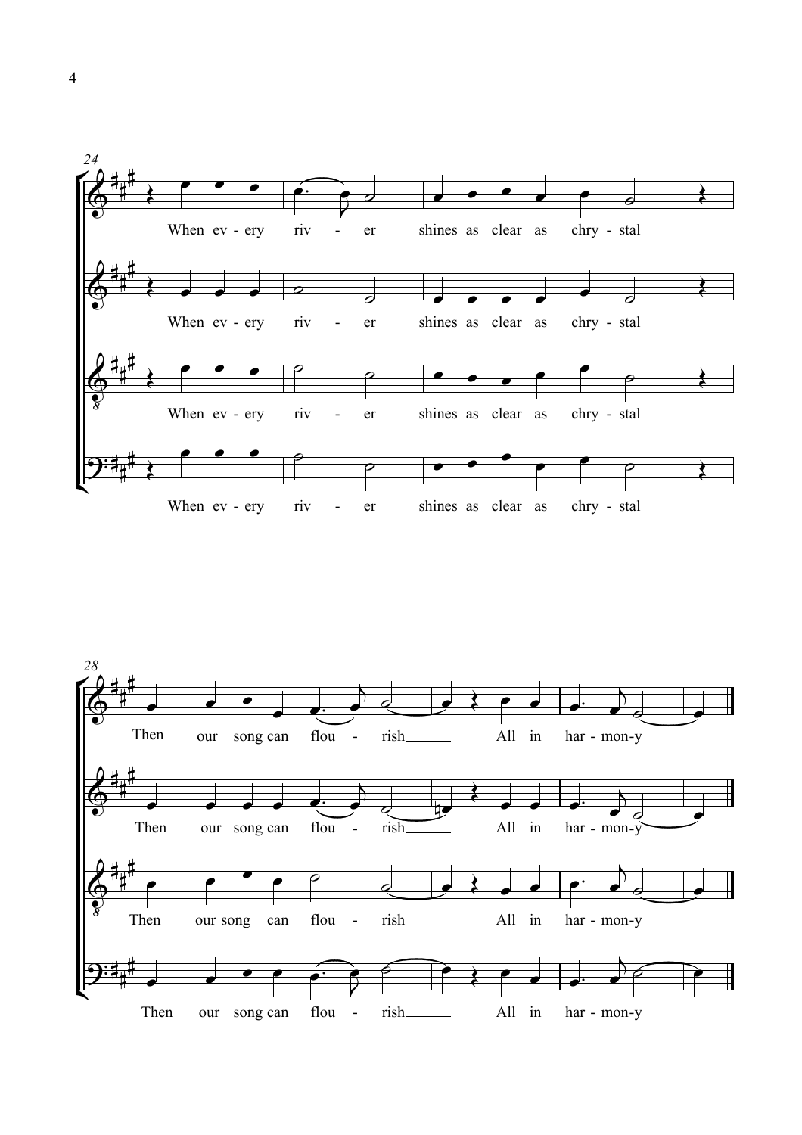